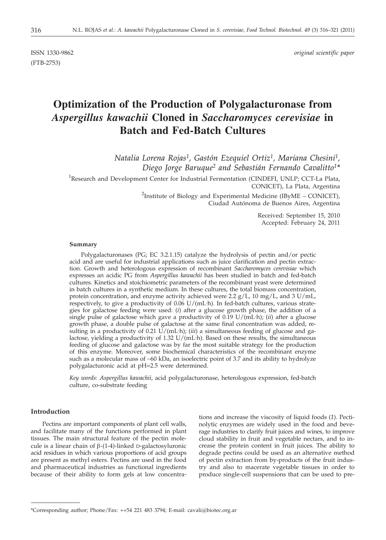ISSN 1330-9862 *original scientific paper*

# **Optimization of the Production of Polygalacturonase from** *Aspergillus kawachii* **Cloned in** *Saccharomyces cerevisiae* **in Batch and Fed-Batch Cultures**

*Natalia Lorena Rojas1, Gastón Ezequiel Ortiz1, Mariana Chesini1, Diego Jorge Baruque2 and Sebastián Fernando Cavalitto1\**

<sup>1</sup>Research and Development Center for Industrial Fermentation (CINDEFI, UNLP; CCT-La Plata, CONICET), La Plata, Argentina

> <sup>2</sup>Institute of Biology and Experimental Medicine (IByME - CONICET), Ciudad Autónoma de Buenos Aires, Argentina

> > Received: September 15, 2010 Accepted: February 24, 2011

#### **Summary**

Polygalacturonases (PG; EC 3.2.1.15) catalyze the hydrolysis of pectin and/or pectic acid and are useful for industrial applications such as juice clarification and pectin extraction. Growth and heterologous expression of recombinant *Saccharomyces cerevisiae* which expresses an acidic PG from *Aspergillus kawachii* has been studied in batch and fed-batch cultures. Kinetics and stoichiometric parameters of the recombinant yeast were determined in batch cultures in a synthetic medium. In these cultures, the total biomass concentration, protein concentration, and enzyme activity achieved were 2.2  $g/L$ , 10 mg/L, and 3 U/mL, respectively, to give a productivity of 0.06 U/(mL. h). In fed-batch cultures, various strategies for galactose feeding were used: (*i*) after a glucose growth phase, the addition of a single pulse of galactose which gave a productivity of 0.19 U/(mL. h); (*ii*) after a glucose growth phase, a double pulse of galactose at the same final concentration was added, resulting in a productivity of 0.21 U/(mL. h); (*iii*) a simultaneous feeding of glucose and galactose, yielding a productivity of 1.32 U/(mL. h). Based on these results, the simultaneous feeding of glucose and galactose was by far the most suitable strategy for the production of this enzyme. Moreover, some biochemical characteristics of the recombinant enzyme such as a molecular mass of ~60 kDa, an isoelectric point of 3.7 and its ability to hydrolyze polygalacturonic acid at pH=2.5 were determined.

*Key words*: *Aspergillus kawachii*, acid polygalacturonase, heterologous expression, fed-batch culture, co-substrate feeding

## **Introduction**

Pectins are important components of plant cell walls, and facilitate many of the functions performed in plant tissues. The main structural feature of the pectin molecule is a linear chain of  $\beta$ -(1-4)-linked D-galactosyluronic acid residues in which various proportions of acid groups are present as methyl esters. Pectins are used in the food and pharmaceutical industries as functional ingredients because of their ability to form gels at low concentra-

tions and increase the viscosity of liquid foods (*1*). Pectinolytic enzymes are widely used in the food and beverage industries to clarify fruit juices and wines, to improve cloud stability in fruit and vegetable nectars, and to increase the protein content in fruit juices. The ability to degrade pectins could be used as an alternative method of pectin extraction from by-products of the fruit industry and also to macerate vegetable tissues in order to produce single-cell suspensions that can be used to pre-

<sup>\*</sup>Corresponding author; Phone/Fax: ++54 221 483 3794; E-mail: cavali@biotec.org.ar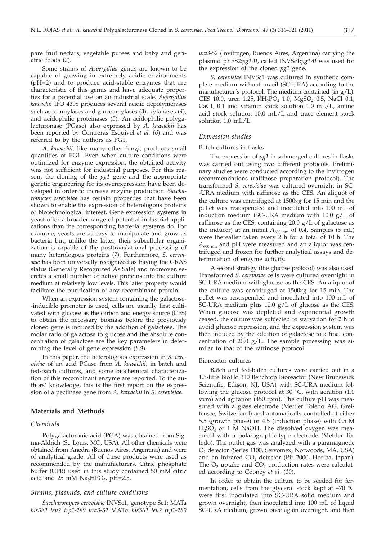pare fruit nectars, vegetable purees and baby and geriatric foods (*2*).

Some strains of *Aspergillus* genus are known to be capable of growing in extremely acidic environments (pH=2) and to produce acid-stable enzymes that are characteristic of this genus and have adequate properties for a potential use on an industrial scale. *Aspergillus kawachii* IFO 4308 produces several acidic depolymerases such as  $\alpha$ -amylases and glucoamylases (3), xylanases (4), and acidophilic proteinases (*5*). An acidophilic polygalacturonase (PGase) also expressed by *A. kawachii* has been reported by Contreras Esquivel *et al. (6*) and was referred to by the authors as PG1.

*A. kawachii*, like many other fungi, produces small quantities of PG1. Even when culture conditions were optimized for enzyme expression, the obtained activity was not sufficient for industrial purposes. For this reason, the cloning of the *pg1* gene and the appropriate genetic engineering for its overexpression have been developed in order to increase enzyme production. *Saccharomyces cerevisiae* has certain properties that have been shown to enable the expression of heterologous proteins of biotechnological interest. Gene expression systems in yeast offer a broader range of potential industrial applications than the corresponding bacterial systems do. For example, yeasts are as easy to manipulate and grow as bacteria but, unlike the latter, their subcellular organization is capable of the posttranslational processing of many heterologous proteins (*7*). Furthermore, *S. cerevisiae* has been universally recognized as having the GRAS status (Generally Recognized As Safe) and moreover, secretes a small number of native proteins into the culture medium at relatively low levels. This latter property would facilitate the purification of any recombinant protein.

When an expression system containing the galactose- -inducible promoter is used, cells are usually first cultivated with glucose as the carbon and energy source (CES) to obtain the necessary biomass before the previously cloned gene is induced by the addition of galactose. The molar ratio of galactose to glucose and the absolute concentration of galactose are the key parameters in determining the level of gene expression (*8,9*).

In this paper, the heterologous expression in *S. cerevisiae* of an acid PGase from *A. kawachii,* in batch and fed-batch cultures, and some biochemical characterization of this recombinant enzyme are reported. To the authors' knowledge, this is the first report on the expression of a pectinase gene from *A. kawachii* in *S. cerevisiae.*

## **Materials and Methods**

## *Chemicals*

Polygalacturonic acid (PGA) was obtained from Sigma-Aldrich (St. Louis, MO, USA). All other chemicals were obtained from Anedra (Buenos Aires, Argentina) and were of analytical grade. All of these products were used as recommended by the manufacturers. Citric phosphate buffer (CPB) used in this study contained 50 mM citric acid and  $25$  mM  $Na<sub>2</sub>HPO<sub>3</sub>$ , pH=2.5.

# *Strains, plasmids, and culture conditions*

*Saccharomyces cerevisiae* INVSc1, genotype Sc1: MATa *his3*D*1 leu2 trp1-289 ura3-52* MATa *his3*D*1 leu2 trp1-289* *ura3-52* (Invitrogen, Buenos Aires, Argentina) carrying the plasmid pYES2:*pg1DI*, called INVSc1:*pg1D<sup>I</sup>* was used for the expression of the cloned *pg1* gene.

*S. cerevisiae* INVSc1 was cultured in synthetic complete medium without uracil (SC-URA) according to the manufacturer's protocol. The medium contained (in g/L): CES 10.0, urea 1.25,  $KH_2PO_4$  1.0, MgSO<sub>4</sub> 0.5, NaCl 0.1,  $CaCl<sub>2</sub> 0.1$  and vitamin stock solution 1.0 mL/L, amino acid stock solution 10.0 mL/L and trace element stock solution 1.0 mL/L.

# *Expression studies*

## Batch cultures in flasks

The expression of *pg1* in submerged cultures in flasks was carried out using two different protocols. Preliminary studies were conducted according to the Invitrogen recommendations (raffinose preparation protocol). The transformed *S. cerevisiae* was cultured overnight in SC- -URA medium with raffinose as the CES. An aliquot of the culture was centrifuged at  $1500 \times g$  for 15 min and the pellet was resuspended and inoculated into 100 mL of induction medium (SC-URA medium with 10.0 g/L of raffinose as the CES, containing  $20.0 \text{ g/L}$  of galactose as the inducer) at an initial  $A_{600 \text{ nm}}$  of 0.4. Samples (5 mL) were thereafter taken every 2 h for a total of 10 h. The  $A_{600 \text{ nm}}$  and pH were measured and an aliquot was centrifuged and frozen for further analytical assays and determination of enzyme activity.

A second strategy (the glucose protocol) was also used. Transformed *S. cerevisiae* cells were cultured overnight in SC-URA medium with glucose as the CES. An aliquot of the culture was centrifuged at  $1500 \times g$  for 15 min. The pellet was resuspended and inoculated into 100 mL of SC-URA medium plus 10.0 g/L of glucose as the CES. When glucose was depleted and exponential growth ceased, the culture was subjected to starvation for 2 h to avoid glucose repression, and the expression system was then induced by the addition of galactose to a final concentration of 20.0  $g/L$ . The sample processing was similar to that of the raffinose protocol.

#### Bioreactor cultures

Batch and fed-batch cultures were carried out in a 1.5-litre BioFlo 310 Benchtop Bioreactor (New Brunswick Scientific, Edison, NJ, USA) with SC-URA medium following the glucose protocol at 30 °C, with aeration (1.0 vvm) and agitation (450 rpm). The culture pH was measured with a glass electrode (Mettler Toledo AG, Greifensee, Switzerland) and automatically controlled at either 5.5 (growth phase) or 4.5 (induction phase) with 0.5 M H<sub>2</sub>SO<sub>4</sub> or 1 M NaOH. The dissolved oxygen was measured with a polarographic-type electrode (Mettler Toledo). The outlet gas was analyzed with a paramagnetic O2 detector (Series 1100, Servomex, Norwoods, MA, USA) and an infrared  $CO<sub>2</sub>$  detector (Pir 2000, Horiba, Japan). The  $O_2$  uptake and  $CO_2$  production rates were calculated according to Cooney *et al*. (*10*).

In order to obtain the culture to be seeded for fermentation, cells from the glycerol stock kept at –70 °C were first inoculated into SC-URA solid medium and grown overnight, then inoculated into 100 mL of liquid SC-URA medium, grown once again overnight, and then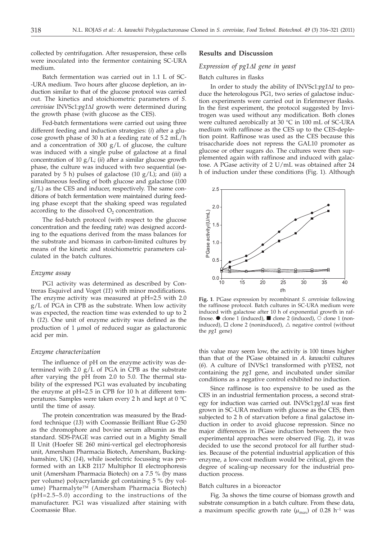collected by centrifugation. After resuspension, these cells were inoculated into the fermentor containing SC-URA medium.

Batch fermentation was carried out in 1.1 L of SC- -URA medium. Two hours after glucose depletion, an induction similar to that of the glucose protocol was carried out. The kinetics and stoichiometric parameters of *S. cerevisiae* INVSc1:*pg1*D*<sup>I</sup>* growth were determined during the growth phase (with glucose as the CES).

Fed-batch fermentations were carried out using three different feeding and induction strategies: (*i*) after a glucose growth phase of 30 h at a feeding rate of 5.2 mL/h and a concentration of 300  $g/L$  of glucose, the culture was induced with a single pulse of galactose at a final concentration of 10 g/L; (*ii*) after a similar glucose growth phase, the culture was induced with two sequential (separated by 5 h) pulses of galactose (10 g/L); and (*iii*) a simultaneous feeding of both glucose and galactose (100 g/L) as the CES and inducer, respectively. The same conditions of batch fermentation were maintained during feeding phase except that the shaking speed was regulated according to the dissolved  $O<sub>2</sub>$  concentration.

The fed-batch protocol (with respect to the glucose concentration and the feeding rate) was designed according to the equations derived from the mass balances for the substrate and biomass in carbon-limited cultures by means of the kinetic and stoichiometric parameters calculated in the batch cultures.

## *Enzyme assay*

PG1 activity was determined as described by Contreras Esquivel and Voget (*11*) with minor modifications. The enzyme activity was measured at pH=2.5 with 2.0 g/L of PGA in CPB as the substrate. When low activity was expected, the reaction time was extended to up to 2 h (*12*). One unit of enzyme activity was defined as the production of  $1 \mu$ mol of reduced sugar as galacturonic acid per min.

# *Enzyme characterization*

The influence of pH on the enzyme activity was determined with 2.0 g/L of PGA in CPB as the substrate after varying the pH from 2.0 to 5.0. The thermal stability of the expressed PG1 was evaluated by incubating the enzyme at pH=2.5 in CPB for 10 h at different temperatures. Samples were taken every 2 h and kept at 0 °C until the time of assay.

The protein concentration was measured by the Bradford technique (*13*) with Coomassie Brilliant Blue G-250 as the chromophore and bovine serum albumin as the standard. SDS-PAGE was carried out in a Mighty Small II Unit (Hoefer SE 260 mini-vertical gel electrophoresis unit, Amersham Pharmacia Biotech, Amersham, Buckinghamshire, UK) (*14*), while isoelectric focussing was performed with an LKB 2117 Multiphor II electrophoresis unit (Amersham Pharmacia Biotech) on a 7.5 % (by mass per volume) polyacrylamide gel containing 5 % (by volume) Pharmalyte™ (Amersham Pharmacia Biotech) (pH=2.5–5.0) according to the instructions of the manufacturer. PG1 was visualized after staining with Coomassie Blue.

## **Results and Discussion**

# *Expression of pg1DI gene in yeast*

## Batch cultures in flasks

In order to study the ability of INVSc1:*pg1* $\Delta$ *I* to produce the heterologous PG1, two series of galactose induction experiments were carried out in Erlenmeyer flasks. In the first experiment, the protocol suggested by Invitrogen was used without any modification. Both clones were cultured aerobically at 30 °C in 100 mL of SC-URA medium with raffinose as the CES up to the CES-depletion point. Raffinose was used as the CES because this trisaccharide does not repress the GAL10 promoter as glucose or other sugars do. The cultures were then supplemented again with raffinose and induced with galactose. A PGase activity of 2 U/mL was obtained after 24 h of induction under these conditions (Fig. 1). Although



**Fig. 1**. PGase expression by recombinant *S. cerevisiae* following the raffinose protocol. Batch cultures in SC-URA medium were induced with galactose after 10 h of exponential growth in raffinose.  $\bullet$  clone 1 (induced),  $\blacksquare$  clone 2 (induced),  $\circlearrowleft$  clone 1 (noninduced),  $\Box$  clone 2 (noninduced),  $\triangle$  negative control (without the *pg1* gene)

this value may seem low, the activity is 100 times higher than that of the PGase obtained in *A. kawachii* cultures (*6*). A culture of INVSc1 transformed with pYES2, not containing the *pg1* gene, and incubated under similar conditions as a negative control exhibited no induction.

Since raffinose is too expensive to be used as the CES in an industrial fermentation process, a second strategy for induction was carried out. INVSc1:*pg1D<sup>I</sup>* was first grown in SC-URA medium with glucose as the CES, then subjected to 2 h of starvation before a final galactose induction in order to avoid glucose repression. Since no major differences in PGase induction between the two experimental approaches were observed (Fig. 2), it was decided to use the second protocol for all further studies. Because of the potential industrial application of this enzyme, a low-cost medium would be critical, given the degree of scaling-up necessary for the industrial production process.

## Batch cultures in a bioreactor

Fig. 3a shows the time course of biomass growth and substrate consumption in a batch culture. From these data, a maximum specific growth rate  $(\mu_{\text{max}})$  of 0.28 h<sup>-1</sup> was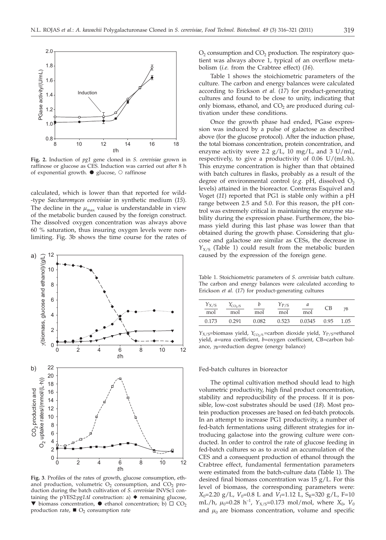

**Fig. 2.** Induction of *pg1* gene cloned in *S. cerevisiae* grown in raffinose or glucose as CES. Induction was carried out after 8 h of exponential growth.  $\bullet$  glucose,  $\circ$  raffinose

calculated, which is lower than that reported for wild- -type *Saccharomyces cerevisiae* in synthetic medium (*15*). The decline in the  $\mu_{\text{max}}$  value is understandable in view of the metabolic burden caused by the foreign construct. The dissolved oxygen concentration was always above 60 % saturation, thus insuring oxygen levels were nonlimiting. Fig. 3b shows the time course for the rates of



**Fig. 3**. Profiles of the rates of growth, glucose consumption, ethanol production, volumetric  $O_2$  consumption, and  $CO_2$  production during the batch cultivation of *S. cerevisiae* INVSc1 containing the pYES2:*pg1∆I* construction: a) ◆ remaining glucose,  $\blacktriangledown$  biomass concentration,  $\blacktriangledown$  ethanol concentration; b)  $\Box$  CO<sub>2</sub> production rate,  $\blacksquare$  O<sub>2</sub> consumption rate

 $O<sub>2</sub>$  consumption and  $CO<sub>2</sub>$  production. The respiratory quotient was always above 1, typical of an overflow metabolism (*i.e.* from the Crabtree effect) (*16*).

Table 1 shows the stoichiometric parameters of the culture. The carbon and energy balances were calculated according to Erickson *et al.* (*17*) for product-generating cultures and found to be close to unity, indicating that only biomass, ethanol, and  $CO<sub>2</sub>$  are produced during cultivation under these conditions.

Once the growth phase had ended, PGase expression was induced by a pulse of galactose as described above (for the glucose protocol). After the induction phase, the total biomass concentration, protein concentration, and enzyme activity were 2.2  $g/L$ , 10 mg/L, and 3 U/mL, respectively, to give a productivity of 0.06 U/(mL. h). This enzyme concentration is higher than that obtained with batch cultures in flasks, probably as a result of the degree of environmental control (*e.g.* pH, dissolved  $O_2$ levels) attained in the bioreactor. Contreras Esquivel and Voget (*11*) reported that PG1 is stable only within a pH range between 2.5 and 5.0. For this reason, the pH control was extremely critical in maintaining the enzyme stability during the expression phase. Furthermore, the biomass yield during this last phase was lower than that obtained during the growth phase. Considering that glucose and galactose are similar as CESs, the decrease in  $Y_{X/S}$  (Table 1) could result from the metabolic burden caused by the expression of the foreign gene.

Table 1. Stoichiometric parameters of *S. cerevisiae* batch culture. The carbon and energy balances were calculated according to Erickson *et al.* (*17*) for product-generating cultures

| Y <sub>X/S</sub><br>mol | $Y_{CO2/S}$<br>mol | mol   | $Y_{P/S}$<br>mol | а<br>mol | СB   | γB   |
|-------------------------|--------------------|-------|------------------|----------|------|------|
| 0.173                   | 0.291              | 0.082 | 0.523            | 0.0345   | 0.95 | 1.05 |

*Y*<sub>X/S</sub>=biomass yield, *Y*<sub>CO2/S</sub> =carbon dioxide yield, *Y*<sub>P/S</sub>=ethanol yield, *a*=urea coefficient, *b*=oxygen coefficient, CB=carbon balance,  $\gamma_B$ =reduction degree (energy balance)

#### Fed-batch cultures in bioreactor

The optimal cultivation method should lead to high volumetric productivity, high final product concentration, stability and reproducibility of the process. If it is possible, low-cost substrates should be used (*18*). Most protein production processes are based on fed-batch protocols. In an attempt to increase PG1 productivity, a number of fed-batch fermentations using different strategies for introducing galactose into the growing culture were conducted. In order to control the rate of glucose feeding in fed-batch cultures so as to avoid an accumulation of the CES and a consequent production of ethanol through the Crabtree effect, fundamental fermentation parameters were estimated from the batch-culture data (Table 1). The desired final biomass concentration was 15 g/L. For this level of biomass, the corresponding parameters were:  $X_0$ =2.20 g/L,  $V_0$ =0.8 L and  $V_f$ =1.12 L,  $S_R$ =320 g/L, F=10 mL/h,  $\mu_0$ =0.28 h<sup>-1</sup>,  $Y_{X/S}$ =0.173 mol/mol, where  $X_0$ ,  $V_0$ and  $\mu_0$  are biomass concentration, volume and specific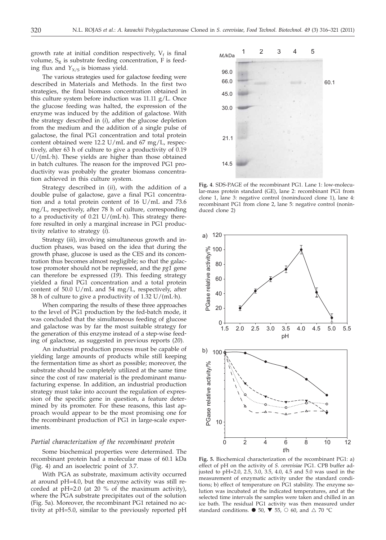growth rate at initial condition respectively,  $V_f$  is final volume,  $S_R$  is substrate feeding concentration, F is feeding flux and  $Y_{X/S}$  is biomass yield.

The various strategies used for galactose feeding were described in Materials and Methods. In the first two strategies, the final biomass concentration obtained in this culture system before induction was 11.11 g/L. Once the glucose feeding was halted, the expression of the enzyme was induced by the addition of galactose. With the strategy described in (*i*), after the glucose depletion from the medium and the addition of a single pulse of galactose, the final PG1 concentration and total protein content obtained were 12.2 U/mL and 67 mg/L, respectively, after 63 h of culture to give a productivity of 0.19 U/(mL. h). These yields are higher than those obtained in batch cultures. The reason for the improved PG1 productivity was probably the greater biomass concentration achieved in this culture system.

Strategy described in (*ii*), with the addition of a double pulse of galactose, gave a final PG1 concentration and a total protein content of 16 U/mL and 73.6 mg/L, respectively, after 78 h of culture, corresponding to a productivity of 0.21 U/(mL. h). This strategy therefore resulted in only a marginal increase in PG1 productivity relative to strategy (*i*).

Strategy (*iii*), involving simultaneous growth and induction phases, was based on the idea that during the growth phase, glucose is used as the CES and its concentration thus becomes almost negligible; so that the galactose promoter should not be repressed, and the *pg1* gene can therefore be expressed (*19*). This feeding strategy yielded a final PG1 concentration and a total protein content of 50.0 U/mL and 54 mg/L, respectively, after 38 h of culture to give a productivity of 1.32 U/(mL. h).

When comparing the results of these three approaches to the level of PG1 production by the fed-batch mode, it was concluded that the simultaneous feeding of glucose and galactose was by far the most suitable strategy for the generation of this enzyme instead of a step-wise feeding of galactose, as suggested in previous reports (*20*).

An industrial production process must be capable of yielding large amounts of products while still keeping the fermentation time as short as possible; moreover, the substrate should be completely utilized at the same time since the cost of raw material is the predominant manufacturing expense. In addition, an industrial production strategy must take into account the regulation of expression of the specific gene in question, a feature determined by its promoter. For these reasons, this last approach would appear to be the most promising one for the recombinant production of PG1 in large-scale experiments.

## *Partial characterization of the recombinant protein*

Some biochemical properties were determined. The recombinant protein had a molecular mass of 60.1 kDa (Fig. 4) and an isoelectric point of 3.7.

With PGA as substrate, maximum activity occurred at around pH=4.0, but the enzyme activity was still recorded at pH=2.0 (at 20 % of the maximum activity), where the PGA substrate precipitates out of the solution (Fig. 5a). Moreover, the recombinant PG1 retained no activity at pH=5.0, similar to the previously reported pH



**Fig. 4**. SDS-PAGE of the recombinant PG1. Lane 1: low-molecular-mass protein standard (GE), lane 2: recombinant PG1 from clone 1, lane 3: negative control (noninduced clone 1), lane 4: recombinant PG1 from clone 2, lane 5: negative control (noninduced clone 2)



**Fig. 5.** Biochemical characterization of the recombinant PG1: a) effect of pH on the activity of *S. cerevisiae* PG1. CPB buffer adjusted to pH=2.0, 2.5, 3.0, 3.5, 4.0, 4.5 and 5.0 was used in the measurement of enzymatic activity under the standard conditions; b) effect of temperature on PG1 stability. The enzyme solution was incubated at the indicated temperatures, and at the selected time intervals the samples were taken and chilled in an ice bath. The residual PG1 activity was then measured under standard conditions.  $\bullet$  50,  $\blacktriangledown$  55,  $\circ$  60, and  $\triangle$  70 °C